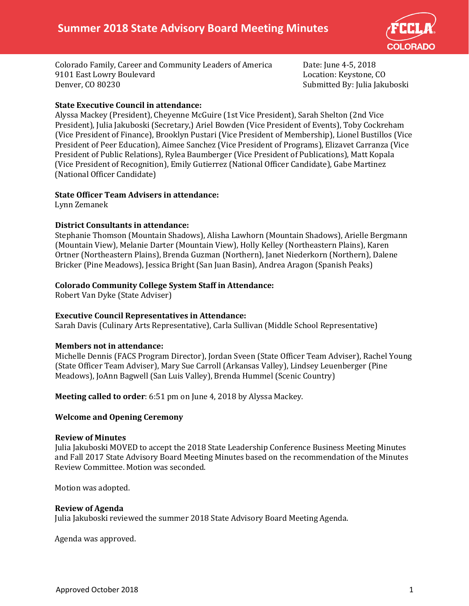

Colorado Family, Career and Community Leaders of America Date: June 4-5, 2018 9101 East Lowry Boulevard<br>Denver, CO 80230

Submitted By: Julia Jakuboski

## **State Executive Council in attendance:**

Alyssa Mackey (President), Cheyenne McGuire (1st Vice President), Sarah Shelton (2nd Vice President), Julia Jakuboski (Secretary,) Ariel Bowden (Vice President of Events), Toby Cockreham (Vice President of Finance), Brooklyn Pustari (Vice President of Membership), Lionel Bustillos (Vice President of Peer Education), Aimee Sanchez (Vice President of Programs), Elizavet Carranza (Vice President of Public Relations), Rylea Baumberger (Vice President of Publications), Matt Kopala (Vice President of Recognition), Emily Gutierrez (National Officer Candidate), Gabe Martinez (National Officer Candidate)

## **State Officer Team Advisers in attendance:**

Lynn Zemanek

## **District Consultants in attendance:**

Stephanie Thomson (Mountain Shadows), Alisha Lawhorn (Mountain Shadows), Arielle Bergmann (Mountain View), Melanie Darter (Mountain View), Holly Kelley (Northeastern Plains), Karen Ortner (Northeastern Plains), Brenda Guzman (Northern), Janet Niederkorn (Northern), Dalene Bricker (Pine Meadows), Jessica Bright (San Juan Basin), Andrea Aragon (Spanish Peaks)

## **Colorado Community College System Staff in Attendance:**

Robert Van Dyke (State Adviser)

## **Executive Council Representatives in Attendance:**

Sarah Davis (Culinary Arts Representative), Carla Sullivan (Middle School Representative)

## **Members not in attendance:**

Michelle Dennis (FACS Program Director), Jordan Sveen (State Officer Team Adviser), Rachel Young (State Officer Team Adviser), Mary Sue Carroll (Arkansas Valley), Lindsey Leuenberger (Pine Meadows), JoAnn Bagwell (San Luis Valley), Brenda Hummel (Scenic Country)

**Meeting called to order**: 6:51 pm on June 4, 2018 by Alyssa Mackey.

## **Welcome and Opening Ceremony**

## **Review of Minutes**

Julia Jakuboski MOVED to accept the 2018 State Leadership Conference Business Meeting Minutes and Fall 2017 State Advisory Board Meeting Minutes based on the recommendation of the Minutes Review Committee. Motion was seconded.

Motion was adopted.

## **Review of Agenda**

Julia Jakuboski reviewed the summer 2018 State Advisory Board Meeting Agenda.

Agenda was approved.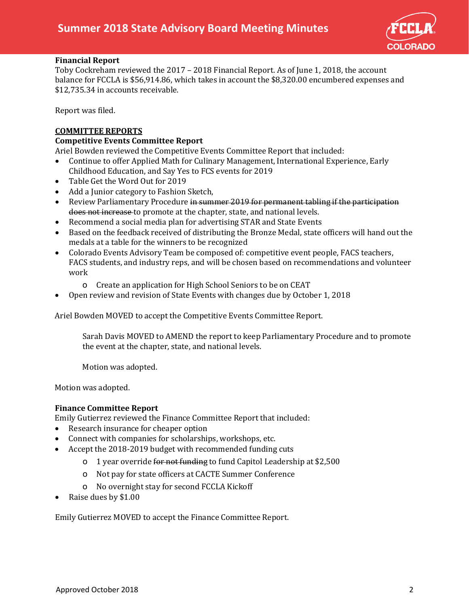

## **Financial Report**

Toby Cockreham reviewed the 2017 – 2018 Financial Report. As of June 1, 2018, the account balance for FCCLA is \$56,914.86, which takes in account the \$8,320.00 encumbered expenses and \$12,735.34 in accounts receivable.

Report was filed.

## **COMMITTEE REPORTS**

## **Competitive Events Committee Report**

Ariel Bowden reviewed the Competitive Events Committee Report that included:

- Continue to offer Applied Math for Culinary Management, International Experience, Early Childhood Education, and Say Yes to FCS events for 2019
- Table Get the Word Out for 2019
- Add a Junior category to Fashion Sketch,
- Review Parliamentary Procedure in summer 2019 for permanent tabling if the participation does not increase to promote at the chapter, state, and national levels.
- Recommend a social media plan for advertising STAR and State Events
- Based on the feedback received of distributing the Bronze Medal, state officers will hand out the medals at a table for the winners to be recognized
- Colorado Events Advisory Team be composed of: competitive event people, FACS teachers, FACS students, and industry reps, and will be chosen based on recommendations and volunteer work
	- o Create an application for High School Seniors to be on CEAT
- Open review and revision of State Events with changes due by October 1, 2018

Ariel Bowden MOVED to accept the Competitive Events Committee Report.

Sarah Davis MOVED to AMEND the report to keep Parliamentary Procedure and to promote the event at the chapter, state, and national levels.

Motion was adopted.

Motion was adopted.

## **Finance Committee Report**

Emily Gutierrez reviewed the Finance Committee Report that included:<br>• Research insurance for cheaper option

- Research insurance for cheaper option
- Connect with companies for scholarships, workshops, etc.
- Accept the 2018-2019 budget with recommended funding cuts
	- o 1 year override for not funding to fund Capitol Leadership at \$2,500
	- o Not pay for state officers at CACTE Summer Conference
	- o No overnight stay for second FCCLA Kickoff
- Raise dues by \$1.00

Emily Gutierrez MOVED to accept the Finance Committee Report.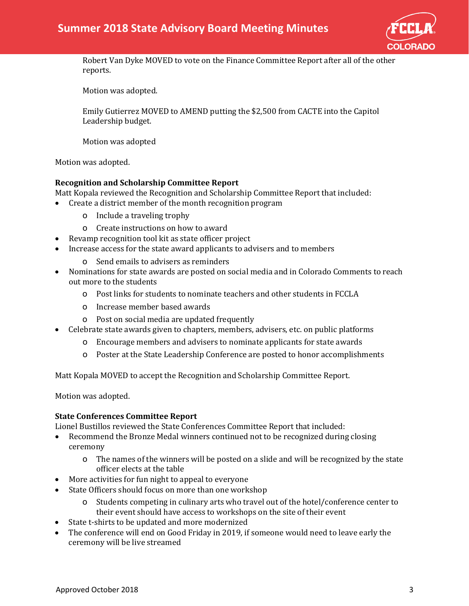

Robert Van Dyke MOVED to vote on the Finance Committee Report after all of the other reports.

Motion was adopted.

Emily Gutierrez MOVED to AMEND putting the \$2,500 from CACTE into the Capitol Leadership budget.

Motion was adopted

Motion was adopted.

## **Recognition and Scholarship Committee Report**

Matt Kopala reviewed the Recognition and Scholarship Committee Report that included:

- Create a district member of the month recognition program
	- o Include a traveling trophy
	- o Create instructions on how to award
- Revamp recognition tool kit as state officer project
- Increase access for the state award applicants to advisers and to members
	- o Send emails to advisers as reminders
- Nominations for state awards are posted on social media and in Colorado Comments to reach out more to the students
	- o Post links for students to nominate teachers and other students in FCCLA
	- o Increase member based awards
	- o Post on social media are updated frequently
- Celebrate state awards given to chapters, members, advisers, etc. on public platforms
	- o Encourage members and advisers to nominate applicants for state awards
	- o Poster at the State Leadership Conference are posted to honor accomplishments

Matt Kopala MOVED to accept the Recognition and Scholarship Committee Report.

Motion was adopted.

## **State Conferences Committee Report**

Lionel Bustillos reviewed the State Conferences Committee Report that included:

- Recommend the Bronze Medal winners continued not to be recognized during closing ceremony
	- o The names of the winners will be posted on a slide and will be recognized by the state officer elects at the table
- More activities for fun night to appeal to everyone
- State Officers should focus on more than one workshop
	- o Students competing in culinary arts who travel out of the hotel/conference center to their event should have access to workshops on the site of their event
- State t-shirts to be updated and more modernized
- The conference will end on Good Friday in 2019, if someone would need to leave early the ceremony will be live streamed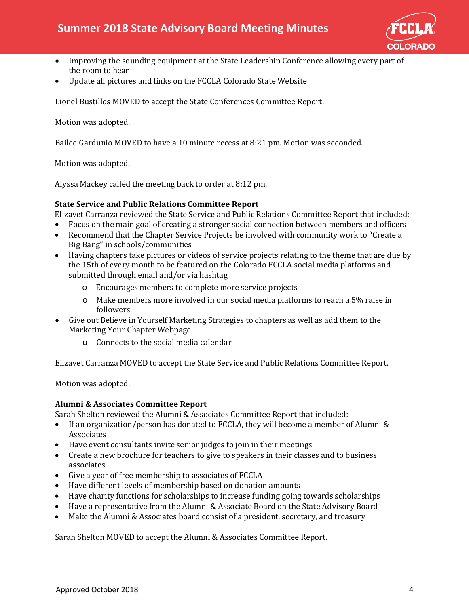

- Improving the sounding equipment at the State Leadership Conference allowing every part of the room to hear
- Update all pictures and links on the FCCLA Colorado State Website

Lionel Bustillos MOVED to accept the State Conferences Committee Report.

Motion was adopted.

Bailee Gardunio MOVED to have a 10 minute recess at 8:21 pm. Motion was seconded.

Motion was adopted.

Alyssa Mackey called the meeting back to order at 8:12 pm.

## **State Service and Public Relations Committee Report**

Elizavet Carranza reviewed the State Service and Public Relations Committee Report that included:

- Focus on the main goal of creating a stronger social connection between members and officers
- Recommend that the Chapter Service Projects be involved with community work to "Create a Big Bang" in schools/communities
- Having chapters take pictures or videos of service projects relating to the theme that are due by the 15th of every month to be featured on the Colorado FCCLA social media platforms and submitted through email and/or via hashtag
	- o Encourages members to complete more service projects
	- o Make members more involved in our social media platforms to reach a 5% raise in followers
- Give out Believe in Yourself Marketing Strategies to chapters as well as add them to the Marketing Your Chapter Webpage
	- o Connects to the social media calendar

Elizavet Carranza MOVED to accept the State Service and Public Relations Committee Report.

Motion was adopted.

## **Alumni & Associates Committee Report**

Sarah Shelton reviewed the Alumni & Associates Committee Report that included:

- If an organization/person has donated to FCCLA, they will become a member of Alumni & Associates
- Have event consultants invite senior judges to join in their meetings
- Create a new brochure for teachers to give to speakers in their classes and to business associates
- Give a year of free membership to associates of FCCLA
- Have different levels of membership based on donation amounts
- Have charity functions for scholarships to increase funding going towards scholarships
- Have a representative from the Alumni & Associate Board on the State Advisory Board
- Make the Alumni & Associates board consist of a president, secretary, and treasury

Sarah Shelton MOVED to accept the Alumni & Associates Committee Report.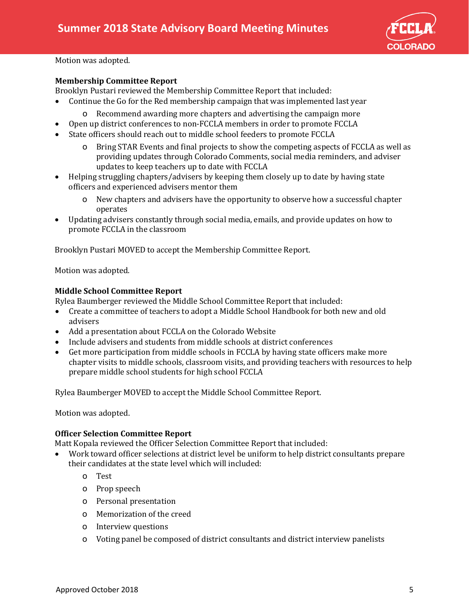

Motion was adopted.

## **Membership Committee Report**

Brooklyn Pustari reviewed the Membership Committee Report that included:<br>• Continue the Go for the Red membership campaign that was implemented

- Continue the Go for the Red membership campaign that was implemented last year
	- o Recommend awarding more chapters and advertising the campaign more
- Open up district conferences to non-FCCLA members in order to promote FCCLA
- State officers should reach out to middle school feeders to promote FCCLA
	- o Bring STAR Events and final projects to show the competing aspects of FCCLA as well as providing updates through Colorado Comments, social media reminders, and adviser updates to keep teachers up to date with FCCLA
- Helping struggling chapters/advisers by keeping them closely up to date by having state officers and experienced advisers mentor them
	- o New chapters and advisers have the opportunity to observe how a successful chapter operates
- Updating advisers constantly through social media, emails, and provide updates on how to promote FCCLA in the classroom

Brooklyn Pustari MOVED to accept the Membership Committee Report.

Motion was adopted.

#### **Middle School Committee Report**

Rylea Baumberger reviewed the Middle School Committee Report that included:

- Create a committee of teachers to adopt a Middle School Handbook for both new and old advisers
- Add a presentation about FCCLA on the Colorado Website
- Include advisers and students from middle schools at district conferences
- Get more participation from middle schools in FCCLA by having state officers make more chapter visits to middle schools, classroom visits, and providing teachers with resources to help prepare middle school students for high school FCCLA

Rylea Baumberger MOVED to accept the Middle School Committee Report.

Motion was adopted.

## **Officer Selection Committee Report**

Matt Kopala reviewed the Officer Selection Committee Report that included:<br>• Work toward officer selections at district level be uniform to help district

- Work toward officer selections at district level be uniform to help district consultants prepare their candidates at the state level which will included:
	- o Test
	- o Prop speech
	- o Personal presentation
	- o Memorization of the creed
	- o Interview questions
	- o Voting panel be composed of district consultants and district interview panelists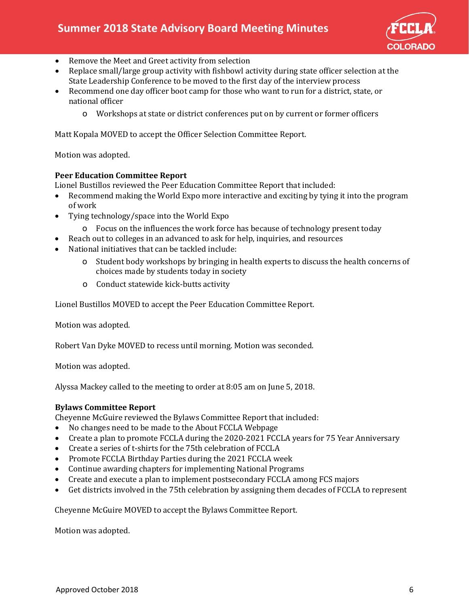

- Remove the Meet and Greet activity from selection
- Replace small/large group activity with fishbowl activity during state officer selection at the State Leadership Conference to be moved to the first day of the interview process
- Recommend one day officer boot camp for those who want to run for a district, state, or national officer
	- o Workshops at state or district conferences put on by current or former officers

Matt Kopala MOVED to accept the Officer Selection Committee Report.

Motion was adopted.

## **Peer Education Committee Report**

Lionel Bustillos reviewed the Peer Education Committee Report that included:

- Recommend making the World Expo more interactive and exciting by tying it into the program of work
- Tying technology/space into the World Expo
	- o Focus on the influences the work force has because of technology present today
	- Reach out to colleges in an advanced to ask for help, inquiries, and resources
- National initiatives that can be tackled include:
	- o Student body workshops by bringing in health experts to discuss the health concerns of choices made by students today in society
	- o Conduct statewide kick-butts activity

Lionel Bustillos MOVED to accept the Peer Education Committee Report.

Motion was adopted.

Robert Van Dyke MOVED to recess until morning. Motion was seconded.

Motion was adopted.

Alyssa Mackey called to the meeting to order at 8:05 am on June 5, 2018.

## **Bylaws Committee Report**

Cheyenne McGuire reviewed the Bylaws Committee Report that included:

- No changes need to be made to the About FCCLA Webpage
- Create a plan to promote FCCLA during the 2020-2021 FCCLA years for 75 Year Anniversary
- Create a series of t-shirts for the 75th celebration of FCCLA
- Promote FCCLA Birthday Parties during the 2021 FCCLA week
- Continue awarding chapters for implementing National Programs
- Create and execute a plan to implement postsecondary FCCLA among FCS majors
- Get districts involved in the 75th celebration by assigning them decades of FCCLA to represent

Cheyenne McGuire MOVED to accept the Bylaws Committee Report.

Motion was adopted.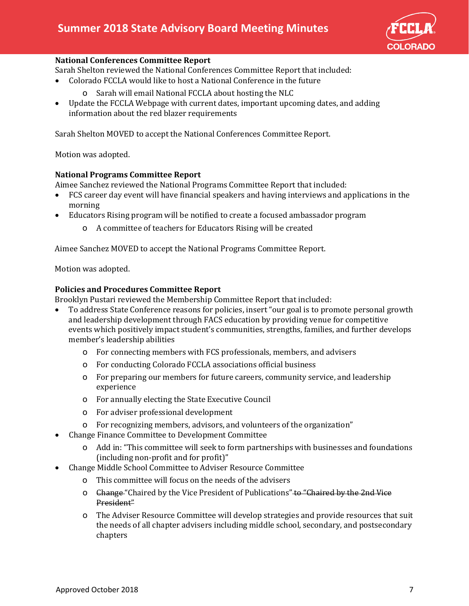

## **National Conferences Committee Report**

Sarah Shelton reviewed the National Conferences Committee Report that included:<br>• Colorado FCCLA would like to host a National Conference in the future

- Colorado FCCLA would like to host a National Conference in the future
	- o Sarah will email National FCCLA about hosting the NLC
- Update the FCCLA Webpage with current dates, important upcoming dates, and adding information about the red blazer requirements

Sarah Shelton MOVED to accept the National Conferences Committee Report.

Motion was adopted.

## **National Programs Committee Report**

Aimee Sanchez reviewed the National Programs Committee Report that included:

- FCS career day event will have financial speakers and having interviews and applications in the morning
- Educators Rising program will be notified to create a focused ambassador program
	- o A committee of teachers for Educators Rising will be created

Aimee Sanchez MOVED to accept the National Programs Committee Report.

Motion was adopted.

## **Policies and Procedures Committee Report**

Brooklyn Pustari reviewed the Membership Committee Report that included:<br>• To address State Conference reasons for policies, insert "our goal is to pro

- To address State Conference reasons for policies, insert "our goal is to promote personal growth and leadership development through FACS education by providing venue for competitive events which positively impact student's communities, strengths, families, and further develops member's leadership abilities
	- o For connecting members with FCS professionals, members, and advisers
	- o For conducting Colorado FCCLA associations official business
	- o For preparing our members for future careers, community service, and leadership experience
	- o For annually electing the State Executive Council
	- o For adviser professional development
	- o For recognizing members, advisors, and volunteers of the organization"
- Change Finance Committee to Development Committee
	- o Add in: "This committee will seek to form partnerships with businesses and foundations (including non-profit and for profit)"
- Change Middle School Committee to Adviser Resource Committee
	- o This committee will focus on the needs of the advisers
	- o Change "Chaired by the Vice President of Publications" to "Chaired by the 2nd Vice President"
	- o The Adviser Resource Committee will develop strategies and provide resources that suit the needs of all chapter advisers including middle school, secondary, and postsecondary chapters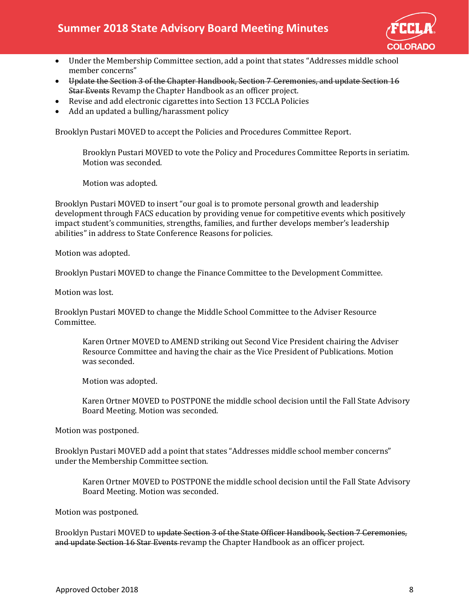

- Under the Membership Committee section, add a point that states "Addresses middle school member concerns"
- Update the Section 3 of the Chapter Handbook, Section 7 Ceremonies, and update Section 16 Star Events Revamp the Chapter Handbook as an officer project.
- Revise and add electronic cigarettes into Section 13 FCCLA Policies
- Add an updated a bulling/harassment policy

Brooklyn Pustari MOVED to accept the Policies and Procedures Committee Report.

Brooklyn Pustari MOVED to vote the Policy and Procedures Committee Reports in seriatim. Motion was seconded.

Motion was adopted.

Brooklyn Pustari MOVED to insert "our goal is to promote personal growth and leadership development through FACS education by providing venue for competitive events which positively impact student's communities, strengths, families, and further develops member's leadership abilities" in address to State Conference Reasons for policies.

Motion was adopted.

Brooklyn Pustari MOVED to change the Finance Committee to the Development Committee.

Motion was lost.

Brooklyn Pustari MOVED to change the Middle School Committee to the Adviser Resource Committee.

Karen Ortner MOVED to AMEND striking out Second Vice President chairing the Adviser Resource Committee and having the chair as the Vice President of Publications. Motion was seconded.

Motion was adopted.

Karen Ortner MOVED to POSTPONE the middle school decision until the Fall State Advisory Board Meeting. Motion was seconded.

Motion was postponed.

Brooklyn Pustari MOVED add a point that states "Addresses middle school member concerns" under the Membership Committee section.

Karen Ortner MOVED to POSTPONE the middle school decision until the Fall State Advisory Board Meeting. Motion was seconded.

Motion was postponed.

Brooklyn Pustari MOVED to update Section 3 of the State Officer Handbook, Section 7 Ceremonies, and update Section 16 Star Events revamp the Chapter Handbook as an officer project.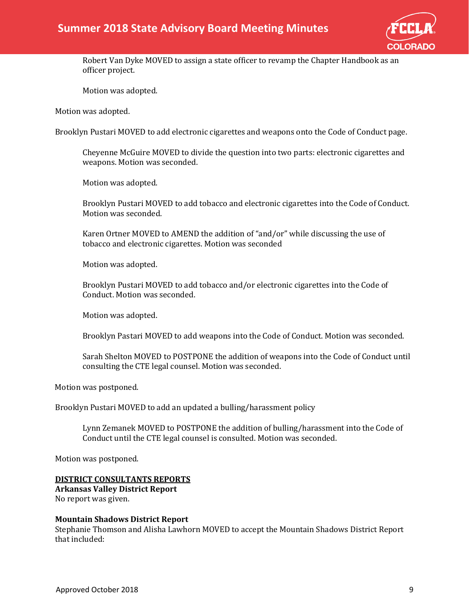

Robert Van Dyke MOVED to assign a state officer to revamp the Chapter Handbook as an officer project.

Motion was adopted.

Motion was adopted.

Brooklyn Pustari MOVED to add electronic cigarettes and weapons onto the Code of Conduct page.

Cheyenne McGuire MOVED to divide the question into two parts: electronic cigarettes and weapons. Motion was seconded.

Motion was adopted.

Brooklyn Pustari MOVED to add tobacco and electronic cigarettes into the Code of Conduct. Motion was seconded.

Karen Ortner MOVED to AMEND the addition of "and/or" while discussing the use of tobacco and electronic cigarettes. Motion was seconded

Motion was adopted.

Brooklyn Pustari MOVED to add tobacco and/or electronic cigarettes into the Code of Conduct. Motion was seconded.

Motion was adopted.

Brooklyn Pastari MOVED to add weapons into the Code of Conduct. Motion was seconded.

Sarah Shelton MOVED to POSTPONE the addition of weapons into the Code of Conduct until consulting the CTE legal counsel. Motion was seconded.

Motion was postponed.

Brooklyn Pustari MOVED to add an updated a bulling/harassment policy

Lynn Zemanek MOVED to POSTPONE the addition of bulling/harassment into the Code of Conduct until the CTE legal counsel is consulted. Motion was seconded.

Motion was postponed.

#### **DISTRICT CONSULTANTS REPORTS**

**Arkansas Valley District Report** No report was given.

#### **Mountain Shadows District Report**

Stephanie Thomson and Alisha Lawhorn MOVED to accept the Mountain Shadows District Report that included: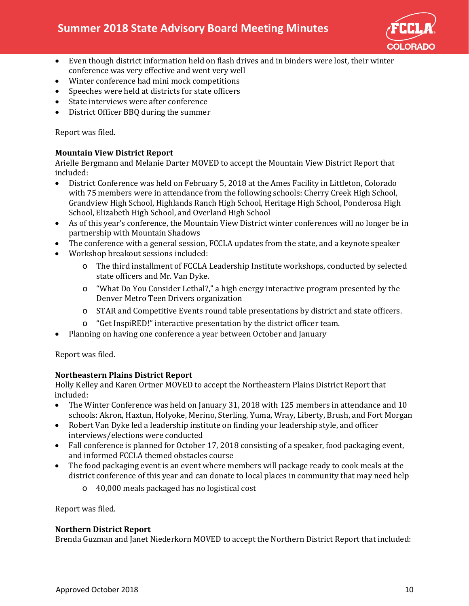

- Even though district information held on flash drives and in binders were lost, their winter conference was very effective and went very well
- Winter conference had mini mock competitions
- Speeches were held at districts for state officers
- State interviews were after conference
- District Officer BBQ during the summer

Report was filed.

## **Mountain View District Report**

Arielle Bergmann and Melanie Darter MOVED to accept the Mountain View District Report that included:

- District Conference was held on February 5, 2018 at the Ames Facility in Littleton, Colorado with 75 members were in attendance from the following schools: Cherry Creek High School, Grandview High School, Highlands Ranch High School, Heritage High School, Ponderosa High School, Elizabeth High School, and Overland High School
- As of this year's conference, the Mountain View District winter conferences will no longer be in partnership with Mountain Shadows
- The conference with a general session, FCCLA updates from the state, and a keynote speaker
- Workshop breakout sessions included:
	- o The third installment of FCCLA Leadership Institute workshops, conducted by selected state officers and Mr. Van Dyke.
	- o "What Do You Consider Lethal?," a high energy interactive program presented by the Denver Metro Teen Drivers organization
	- o STAR and Competitive Events round table presentations by district and state officers.
	- o "Get InspiRED!" interactive presentation by the district officer team.
- Planning on having one conference a year between October and January

Report was filed.

## **Northeastern Plains District Report**

Holly Kelley and Karen Ortner MOVED to accept the Northeastern Plains District Report that included:<br>• The W

- The Winter Conference was held on January 31, 2018 with 125 members in attendance and 10 schools: Akron, Haxtun, Holyoke, Merino, Sterling, Yuma, Wray, Liberty, Brush, and Fort Morgan
- Robert Van Dyke led a leadership institute on finding your leadership style, and officer interviews/elections were conducted
- Fall conference is planned for October 17, 2018 consisting of a speaker, food packaging event, and informed FCCLA themed obstacles course
- The food packaging event is an event where members will package ready to cook meals at the district conference of this year and can donate to local places in community that may need help
	- o 40,000 meals packaged has no logistical cost

Report was filed.

## **Northern District Report**

Brenda Guzman and Janet Niederkorn MOVED to accept the Northern District Report that included: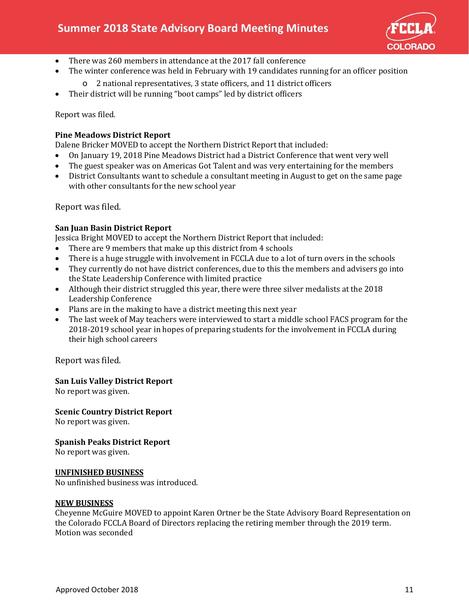

- There was 260 members in attendance at the 2017 fall conference
- The winter conference was held in February with 19 candidates running for an officer position
	- o 2 national representatives, 3 state officers, and 11 district officers
- Their district will be running "boot camps" led by district officers

Report was filed.

## **Pine Meadows District Report**

Dalene Bricker MOVED to accept the Northern District Report that included:

- On January 19, 2018 Pine Meadows District had a District Conference that went very well
- The guest speaker was on Americas Got Talent and was very entertaining for the members
- District Consultants want to schedule a consultant meeting in August to get on the same page with other consultants for the new school year

Report was filed.

## **San Juan Basin District Report**

Jessica Bright MOVED to accept the Northern District Report that included:

- There are 9 members that make up this district from 4 schools
- There is a huge struggle with involvement in FCCLA due to a lot of turn overs in the schools
- They currently do not have district conferences, due to this the members and advisers go into the State Leadership Conference with limited practice
- Although their district struggled this year, there were three silver medalists at the 2018 Leadership Conference
- Plans are in the making to have a district meeting this next year
- The last week of May teachers were interviewed to start a middle school FACS program for the 2018-2019 school year in hopes of preparing students for the involvement in FCCLA during their high school careers

Report was filed.

## **San Luis Valley District Report**

No report was given.

## **Scenic Country District Report**

No report was given.

## **Spanish Peaks District Report**

No report was given.

## **UNFINISHED BUSINESS**

No unfinished business was introduced.

#### **NEW BUSINESS**

Cheyenne McGuire MOVED to appoint Karen Ortner be the State Advisory Board Representation on the Colorado FCCLA Board of Directors replacing the retiring member through the 2019 term. Motion was seconded